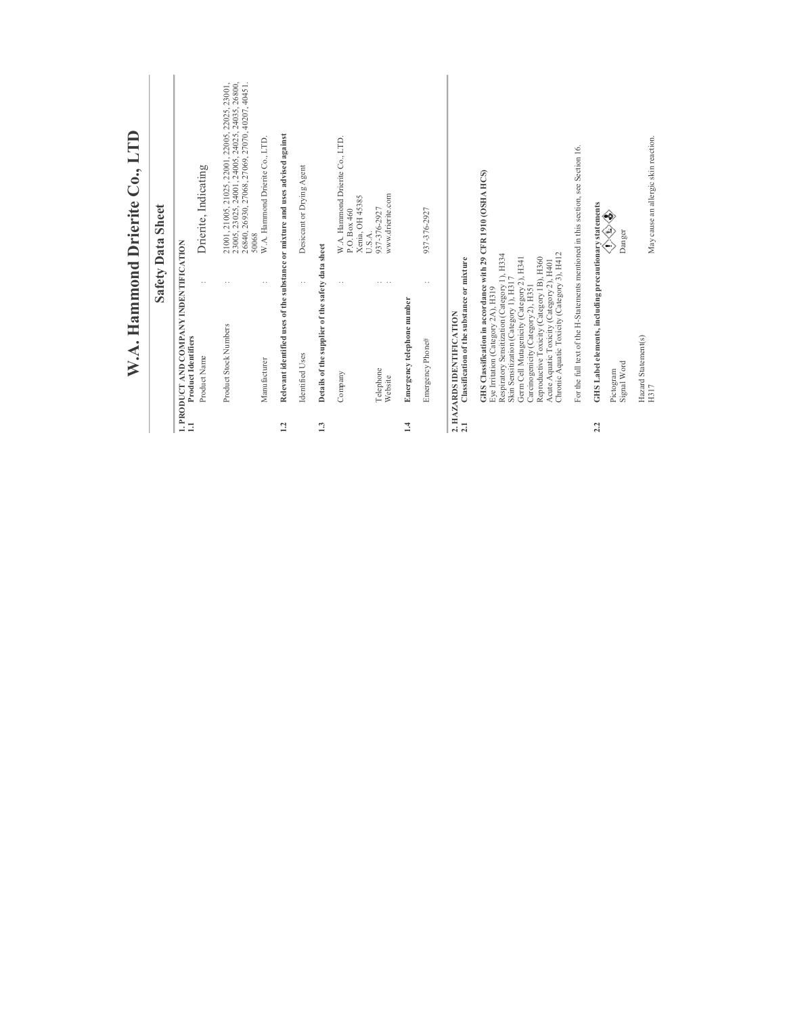|                                                                      |                           | <b>Safety Data Sheet</b>                                                                                                                                                                                                                                                                                                                                                                                                                                                                                                                                                                                                                                                                                                                                 |
|----------------------------------------------------------------------|---------------------------|----------------------------------------------------------------------------------------------------------------------------------------------------------------------------------------------------------------------------------------------------------------------------------------------------------------------------------------------------------------------------------------------------------------------------------------------------------------------------------------------------------------------------------------------------------------------------------------------------------------------------------------------------------------------------------------------------------------------------------------------------------|
| 1. PRODUCT AND COMPANY INDENTIFICATION<br><b>Product Identifiers</b> |                           |                                                                                                                                                                                                                                                                                                                                                                                                                                                                                                                                                                                                                                                                                                                                                          |
| Product Name                                                         |                           | Drierite, Indicating                                                                                                                                                                                                                                                                                                                                                                                                                                                                                                                                                                                                                                                                                                                                     |
| Product Stock Numbers                                                |                           | $\begin{array}{l} 21001, 21005, 21025, 22001, 22005, 22025, 23001, \\ 23005, 23025, 24001, 24005, 24025, 24035, 26800, \\ 26840, 26930, 27068, 27069, 27070, 40207, 40451. \end{array}$<br>50068                                                                                                                                                                                                                                                                                                                                                                                                                                                                                                                                                         |
| Manufacturer                                                         |                           | W.A. Hammond Drierite Co., LTD.                                                                                                                                                                                                                                                                                                                                                                                                                                                                                                                                                                                                                                                                                                                          |
|                                                                      |                           |                                                                                                                                                                                                                                                                                                                                                                                                                                                                                                                                                                                                                                                                                                                                                          |
| Identified Uses                                                      | $\ddot{\phantom{0}}$      | Desiccant or Drying Agent                                                                                                                                                                                                                                                                                                                                                                                                                                                                                                                                                                                                                                                                                                                                |
|                                                                      |                           |                                                                                                                                                                                                                                                                                                                                                                                                                                                                                                                                                                                                                                                                                                                                                          |
| Company                                                              |                           | W.A. Hammond Drierite Co., LTD.<br>Xenia, OH 45385<br>P.O. Box 460                                                                                                                                                                                                                                                                                                                                                                                                                                                                                                                                                                                                                                                                                       |
| Telephone<br>Website                                                 | .                         | www.drierite.com<br>937-376-2927<br>U.S.A.                                                                                                                                                                                                                                                                                                                                                                                                                                                                                                                                                                                                                                                                                                               |
| Emergency telephone number                                           |                           |                                                                                                                                                                                                                                                                                                                                                                                                                                                                                                                                                                                                                                                                                                                                                          |
| Emergency Phone#                                                     |                           | 937-376-2927                                                                                                                                                                                                                                                                                                                                                                                                                                                                                                                                                                                                                                                                                                                                             |
|                                                                      |                           |                                                                                                                                                                                                                                                                                                                                                                                                                                                                                                                                                                                                                                                                                                                                                          |
|                                                                      |                           |                                                                                                                                                                                                                                                                                                                                                                                                                                                                                                                                                                                                                                                                                                                                                          |
|                                                                      |                           |                                                                                                                                                                                                                                                                                                                                                                                                                                                                                                                                                                                                                                                                                                                                                          |
| Signal Word<br>Pictogram                                             |                           | €<br>Danger<br>€                                                                                                                                                                                                                                                                                                                                                                                                                                                                                                                                                                                                                                                                                                                                         |
| Hazard Statement(s)<br>H317                                          |                           | May cause an allergic skin reaction.                                                                                                                                                                                                                                                                                                                                                                                                                                                                                                                                                                                                                                                                                                                     |
|                                                                      | 2. HAZARDS IDENTIFICATION | Relevant identified uses of the substance or mixture and uses advised against<br>For the full text of the H-Statements mentioned in this section, see Section 16.<br>GHS Classification in accordance with 29 CFR 1910 (OSHA HCS)<br>GHS Label elements, including precautionary statements<br>Details of the supplier of the safety data sheet<br>Chronic Aquatic Toxicity (Category 3), H412<br>Respiratory Sensitization (Category 1), H334<br>Germ Cell Mutagenicity (Category 2), H341<br>Classification of the substance or mixture<br>Reproductive Toxicity (Category 1B), H360<br>Acute Aquatic Toxicity (Category 2), H401<br>Skin Sensitization (Category 1), H317<br>Carcinogenicity (Category 2), H351<br>Eye Irritation (Category 2A), H319 |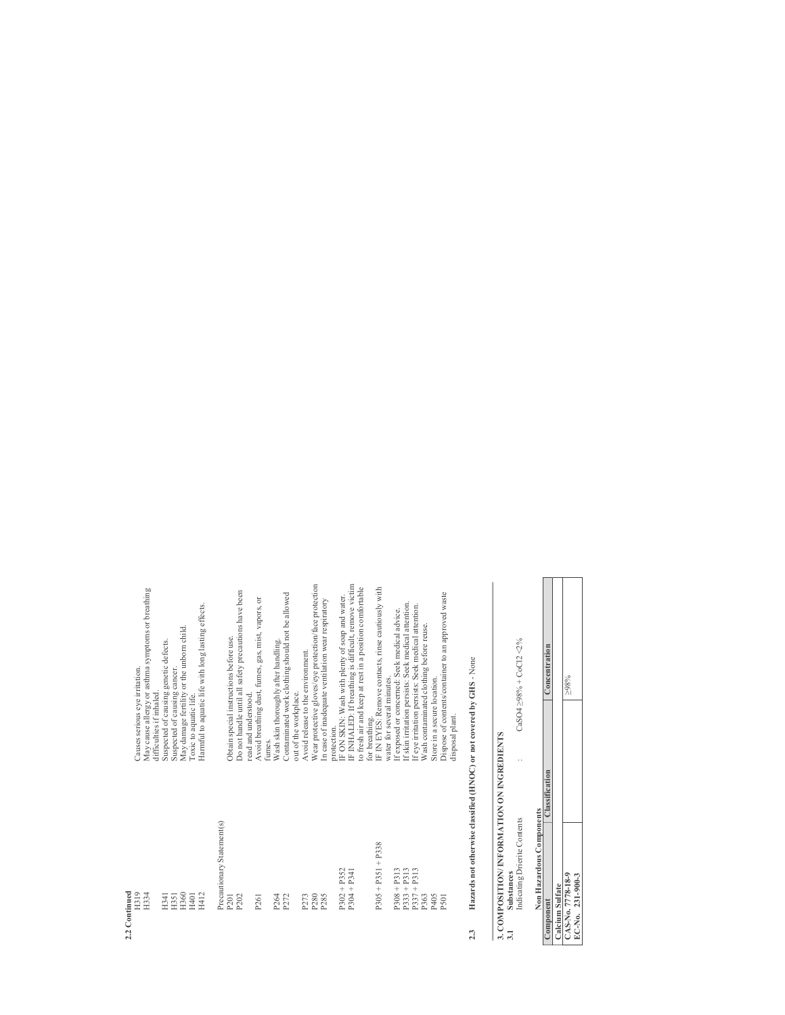| Precautionary Statement(s)<br>$P305 + P351 + P338$<br>$P302 + P352$<br>$P304 + P341$<br>2.2 Continued<br>H319<br>H334<br>H360<br>H412<br>P <sub>280</sub><br>H401<br>P264<br>H341<br>H351<br>P202<br>P272<br>P273<br>P285<br>P261<br>P <sub>201</sub> | Wear protective gloves/eye protection/face protection<br>IF INHALED: If breathing is difficult, remove victim<br>to fresh air and keep at rest in a position comfortable<br>IF IN EYES: Remove contacts, rinse cautiously with<br>May cause allergy or asthma symptoms or breathing<br>Do not handle until all safety precautions have been<br>Contaminated work clothing should not be allowed<br>IF ON SKIN: Wash with plenty of soap and water.<br>Avoid breathing dust, fumes, gas, mist, vapors, or<br>In case of inadequate ventilation wear respiratory<br>Harmful to aquatic life with long lasting effects.<br>May damage fertility or the unborn child.<br>Obtain special instructions before use.<br>Wash skin thoroughly after handling.<br>Suspected of causing genetic defects.<br>Avoid release to the environment.<br>Causes serious eye irritation.<br>Suspected of causing cancer.<br>water for several minutes.<br>difficulties if inhaled.<br>out of the workplace.<br>read and understood.<br>Toxic to aquatic life.<br>for breathing.<br>protection.<br>funnes. |
|-------------------------------------------------------------------------------------------------------------------------------------------------------------------------------------------------------------------------------------------------------|---------------------------------------------------------------------------------------------------------------------------------------------------------------------------------------------------------------------------------------------------------------------------------------------------------------------------------------------------------------------------------------------------------------------------------------------------------------------------------------------------------------------------------------------------------------------------------------------------------------------------------------------------------------------------------------------------------------------------------------------------------------------------------------------------------------------------------------------------------------------------------------------------------------------------------------------------------------------------------------------------------------------------------------------------------------------------------------|
| $P308 + P313$<br>$P333 + P313$<br>$P337 + P313$<br>P405<br>P363<br>P501                                                                                                                                                                               | Dispose of contents/container to an approved waste<br>If skin irritation persists: Seek medical attention.<br>If eye irritation persists: Seek medical attention.<br>If exposed or concerned: Seek medical advice.<br>Wash contaminated clothing before reuse.<br>Store in a secure location.<br>disposal plant.                                                                                                                                                                                                                                                                                                                                                                                                                                                                                                                                                                                                                                                                                                                                                                      |

# Hazards not otherwise classified (HNOC) or not covered by GHS - None 2.3 Hazards not otherwise classified (HNOC) or not covered by GHS - None  $2.3$

# 3. COMPOSITION/INFORMATION ON INGREDIENTS<br>3.1 Substances 3. COMPOSITION/ INFORMATION ON INGREDIENTS

|   | CaSO4 >98% + CoCl2 <2% |  |
|---|------------------------|--|
| ಸ | ndicating Drierit<br>J |  |

|                          |                | $^{986}$         |                    |
|--------------------------|----------------|------------------|--------------------|
|                          |                |                  |                    |
| Non Hazardous Components | alcium Sulfate | AS-No. 7778-18-9 | $EC-NO. 231-900-3$ |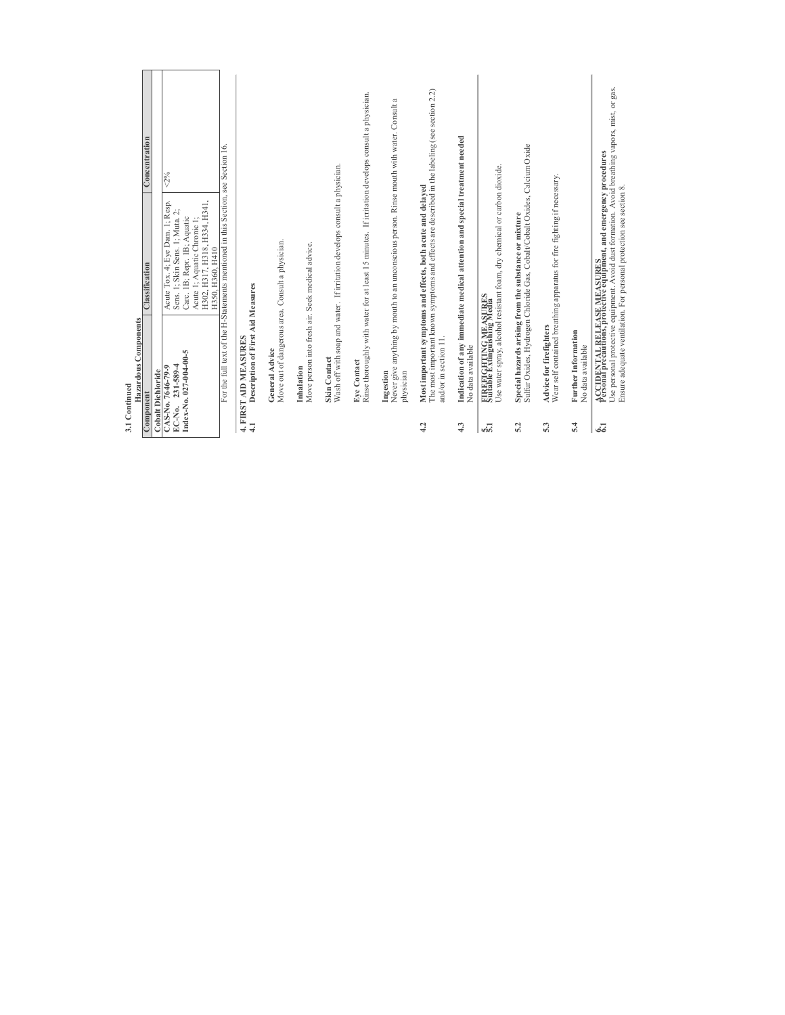| Component     | Hazardous Components                                               | <b>Classification</b>                                                                                                                                                                                                                                                        | Concentration |
|---------------|--------------------------------------------------------------------|------------------------------------------------------------------------------------------------------------------------------------------------------------------------------------------------------------------------------------------------------------------------------|---------------|
|               | <b>Cobalt Dichloride</b>                                           |                                                                                                                                                                                                                                                                              |               |
| EC-No.        | Index-No. $027-004-00-5$<br>$231 - 589 - 4$<br>CAS-No. 7646-79-9   | For the full text of the H-Statements mentioned in this Section, see Section 16.<br>Acute Tox. 4; Eye Dam. 1; Resp.<br>H302, H317, H318, H334, H341,<br>Sens. 1; Skin Sens. 1; Muta. 2;<br>Carc. 1B; Repr. 1B; Aquatic<br>Acute 1; Aquatic Chronic 1;<br>H350, H360, H410    | $2\%$         |
| $\frac{1}{4}$ | Description of First Aid Measures<br>4. FIRST AID MEASURES         |                                                                                                                                                                                                                                                                              |               |
|               | Move out of dangerous area. Consult a physician.<br>General Advice |                                                                                                                                                                                                                                                                              |               |
|               | Move person into fresh air. Seek medical advice.<br>Inhalation     |                                                                                                                                                                                                                                                                              |               |
|               | Skin Contact                                                       | Wash off with soap and water. If initation develops consult a physician.                                                                                                                                                                                                     |               |
|               | Eve Contact                                                        | Rinse thoroughly with water for at least 15 minutes. If irritation develops consult a physician.                                                                                                                                                                             |               |
|               | Ingestion<br>physician                                             | Never give anything by mouth to an unconscious person. Rinse mouth with water. Consult                                                                                                                                                                                       | a             |
| 4.2           | and/or in section 11.                                              | The most important known symptoms and effects are described in the labeling (see section 2.2)<br>Most important symptoms and effects, both acute and delayed                                                                                                                 |               |
| 4.3           | No data available                                                  | Indication of any immediate medical attention and special treatment needed                                                                                                                                                                                                   |               |
| ιώ.           | FIREFIGHTING MEASURES<br>Suitable Extinguishing Media              | Use water spray, alcohol resistant foam, dry chemical or carbon dioxide                                                                                                                                                                                                      |               |
| 5.2           |                                                                    | Sulfur Oxides, Hydrogen Chloride Gas, Cobalt/Cobalt Oxides, Calcium Oxide<br>Special hazards arising from the substance or mixture                                                                                                                                           |               |
| 5.3           | Advice for firefighters                                            | Wear self contained breathing apparatus for fire fighting if necessary.                                                                                                                                                                                                      |               |
| 5.4           | Further Information<br>No data available                           |                                                                                                                                                                                                                                                                              |               |
| ಷ             |                                                                    | Use personal protective equipment. Avoid dust formation. Avoid breathing vapors, mist, or gas.<br>ACCIDENTAL RELEASE MEASURES<br>Personal precautions, protective equipment, and emergency procedures<br>Ensure adequate ventilation. For personal protection see section 8. |               |
|               |                                                                    |                                                                                                                                                                                                                                                                              |               |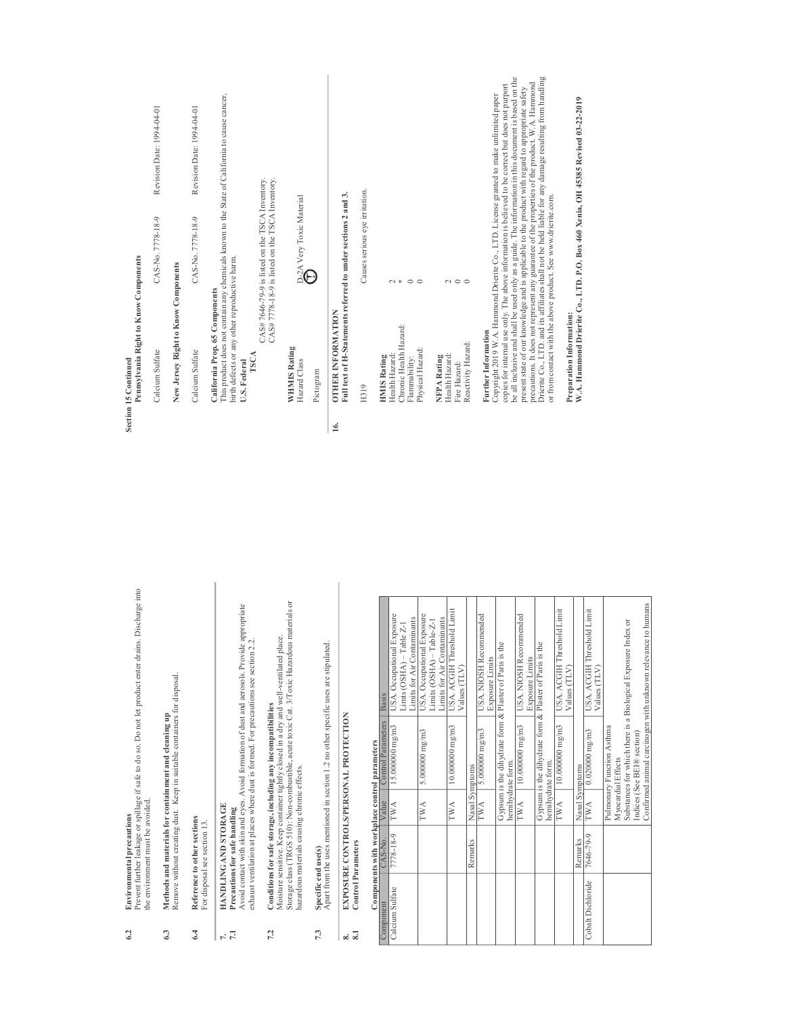| oduct enter drains. Discharge into                                                                                                    |            | Pennsylvania Right to Know Components<br>Section 15 Continued                                              |                                                                                                                                                                                                                                                                                                                                                                                                                       |  |
|---------------------------------------------------------------------------------------------------------------------------------------|------------|------------------------------------------------------------------------------------------------------------|-----------------------------------------------------------------------------------------------------------------------------------------------------------------------------------------------------------------------------------------------------------------------------------------------------------------------------------------------------------------------------------------------------------------------|--|
|                                                                                                                                       |            | Calcium Sulfate                                                                                            | Revision Date: 1994-04-01<br>CAS-No. 7778-18-9                                                                                                                                                                                                                                                                                                                                                                        |  |
| lisposal.                                                                                                                             |            | New Jersey Right to Know Components                                                                        |                                                                                                                                                                                                                                                                                                                                                                                                                       |  |
|                                                                                                                                       |            | Calcium Sulfate                                                                                            | Revision Date: 1994-04-01<br>CAS-No. 7778-18-9                                                                                                                                                                                                                                                                                                                                                                        |  |
| terosols. Provide appropriate<br>ons see section 2.2.                                                                                 |            | birth defects or any other reproductive harm.<br>California Prop. 65 Components<br>TSCA<br>U.S. Federal    | This product does not contain any chemicals known to the State of California to cause cancer,<br>CAS#7646-79-9 is listed on the TSCA Inventory.<br>CAS#7778-18-9 is listed on the TSCA Inventory.                                                                                                                                                                                                                     |  |
| Toxic Hazardous materials or<br>ell-ventilated place.                                                                                 |            | <b>WHMISRating</b><br>Hazard Class<br>Pictogram                                                            | $\widehat{\mathbb{P}}^{2\mathrm{A}}$ Very Toxic Material                                                                                                                                                                                                                                                                                                                                                              |  |
| ses are stipulated.                                                                                                                   | <u>16.</u> | Full text of H-Statements referred to under sections 2 and 3.<br><b>OTHER INFORMATION</b>                  |                                                                                                                                                                                                                                                                                                                                                                                                                       |  |
|                                                                                                                                       |            | H319                                                                                                       | Causes serious eve irritation.                                                                                                                                                                                                                                                                                                                                                                                        |  |
| <b>A.</b> Occupational Exposure<br>A. Occupational Exposure<br>its for Air Contaminants<br>$its$ (OSHA) - Table Z-1<br>$\overline{S}$ |            | Chronic Health Hazard:<br>Physical Hazard:<br><b>Health Hazard:</b><br><b>HMIS Rating</b><br>Flammability: | $\ast$<br>$\circ$<br>$\sim$                                                                                                                                                                                                                                                                                                                                                                                           |  |
| <b>A. ACGIH Threshold Limit</b><br>its for Air Contaminants<br>$its$ (OSHA) - Table-Z-1<br>ues(TLV)                                   |            | Reactivity Hazard:<br>Health Hazard:<br><b>NFPARating</b><br>Fire Hazard:                                  | $\sim$ 0                                                                                                                                                                                                                                                                                                                                                                                                              |  |
| <b>A. NIOSH Recommended</b><br>ster of Paris is the<br>osure Limits                                                                   |            | <b>Further Information</b>                                                                                 | copies for internal use only. The above information is believed to be correct but does not purport<br>Copyright 2019 W.A. Hammond Drierite Co., LTD. License granted to make unlimited paper                                                                                                                                                                                                                          |  |
| <b>A. NIOSH Recommended</b><br>ater of Paris is the<br>osure Limits                                                                   |            | or from contact with the above product. See www.drierite.com.                                              | be all inclusive and shall be used only as a guide. The information in this document is based on the<br>Drierite Co., LTD. and its affiliates shall not be held liable for any damage resulting from handling<br>precautions. It does not represent any guarantee of the properties of the product. W.A. Hammond<br>present state of our knowledge and is applicable to the product with regard to appropriate safety |  |
| A. ACGIH Threshold Limit<br>ues (TLV)                                                                                                 |            | Preparation Information:                                                                                   | W.A. Hammond Drierite Co., LTD. P.O. Box 460 Xenia, OH 45385 Revised 03-22-2019                                                                                                                                                                                                                                                                                                                                       |  |

6.2 Environmental precautions  $6.2$ 

Prevent further leakage or spillage if safe to do so. Do not let product enter drains. Discharge into Environmental precautions<br>Prevent further leakage or spillage if safe to do so. Do not let pro<br>the environment must be avoided. the environment must be avoided.

#### Remove without creating dust. Keep in suitable containers for disposal. Methods and materials for containment and cleaning up<br>Remove without creating dust. Keep in suitable containers for<br> $\mathsf d$ 6.3 Methods and materials for containment and cleaning up  $6.3$

 ${\bf Reference\ to\ other\ sections}$  <br> For disposal see section  $13.$ 6.4 Reference to other sections  $6.4$ 

For disposal see section 13.

#### 7. HANDLING AND STORAGE 7.1 Precautions for safe handling  $\frac{1}{2}$

Avoid contact with skin and eyes. Avoid formation of dust and aerosols. Provide appropriate exhaust ventilation at places where dust is formed. For precautions see section 2.2. HANDLING AND STORAGE<br>Precautions for safe handling<br>Avoid contact with skin and eyes. Avoid formation of dust and exhaust ventilation at places where dust is formed. For precaution

## Moisture sensitive. Keep container tightly closed in a dry and well-ventilated place. Conditions for safe storage, including any incompatibilities<br>Moisture sensitive. Keep container tightly closed in a dry and we<br>Storage class (TRGS 510): Non-combustible, acute toxic Cat. 3/<br>hazardous materials causing chr 7.2 Conditions for safe storage, including any incompatibilities  $7.2$

Storage class (TRGS 510): Non-combustible, acute toxic Cat. 3/Toxic Hazardous materials or hazardous materials causing chronic effects.

## Apart from the uses mentioned in section 1.2 no other specific uses are stipulated. Specific end use(s)<br>  $\Delta$ part from the uses mentioned in section 1.2 no other specific us 7.3 Specific end use(s)  $7.3$

EXPOSURE CONTROLS/PERSONAL PROTECTION<br>Control Parameters 8. EXPOSURE CONTROLS/PERSONAL PROTECTION 8.1 Control Parameters  $\frac{3}{8}$ 

#### rameters ontrol pa Components with workpla

|                   |           |                   | Components with workplace control parameters |                                                              |
|-------------------|-----------|-------------------|----------------------------------------------|--------------------------------------------------------------|
| Component         | CAS-No.   | Value             | Control Parameters                           | Basis                                                        |
| Calcium Sulfate   | 7778-18-9 | TWA               | $15.000000$ mg/m3                            | USA. Occupational Exposure                                   |
|                   |           |                   |                                              | $Lints$ (OSHA) – Table Z-1                                   |
|                   |           |                   |                                              | Limits for Air Contaminants                                  |
|                   |           | TWA               | 5.000000 mg/m3                               | USA. Occupational Exposure                                   |
|                   |           |                   |                                              | $Limit (OSHA) - Table - Z-1$                                 |
|                   |           |                   |                                              | Limits for Air Contaminants                                  |
|                   |           | TWA               | $10.000000$ mg/m3                            | USA. ACGIH Threshold Limit                                   |
|                   |           |                   |                                              | Values (TLV)                                                 |
|                   | Remarks   | Nasal Symptoms    |                                              |                                                              |
|                   |           | TWA               | 5.000000 mg/m3                               | USA. NIOSH Recommended                                       |
|                   |           |                   |                                              | Exposure Limits                                              |
|                   |           |                   |                                              | Gypsum is the dihydrate form & Plaster of Paris is the       |
|                   |           | hemihydrate form. |                                              |                                                              |
|                   |           | TWA               | $10.000000$ mg/m3                            | USA. NIOSH Recommended                                       |
|                   |           |                   |                                              | Exposure Limits                                              |
|                   |           |                   |                                              | Gypsum is the dihydrate form & Plaster of Paris is the       |
|                   |           | hemihydrate form. |                                              |                                                              |
|                   |           | TWA               | $10.000000$ mg/m3                            | USA. ACGIH Threshold Limit                                   |
|                   |           |                   |                                              | Values (TLV)                                                 |
|                   | Remarks   | Nasal Symptoms    |                                              |                                                              |
| Cobalt Dichloride | 7646-79-9 | TWA               | $0.020000$ mg/m3                             | USA. ACGIH Threshold Limit                                   |
|                   |           |                   |                                              | Values (TLV)                                                 |
|                   |           |                   | Pulmonary Function Asthma                    |                                                              |
|                   |           |                   | Myocardial Effects                           |                                                              |
|                   |           |                   |                                              | Substances for which there is a Biological Exposure Index or |
|                   |           |                   | Indices (See BEI® section)                   |                                                              |
|                   |           |                   |                                              | Confirmed animal carcinogen with unknown relevance to humans |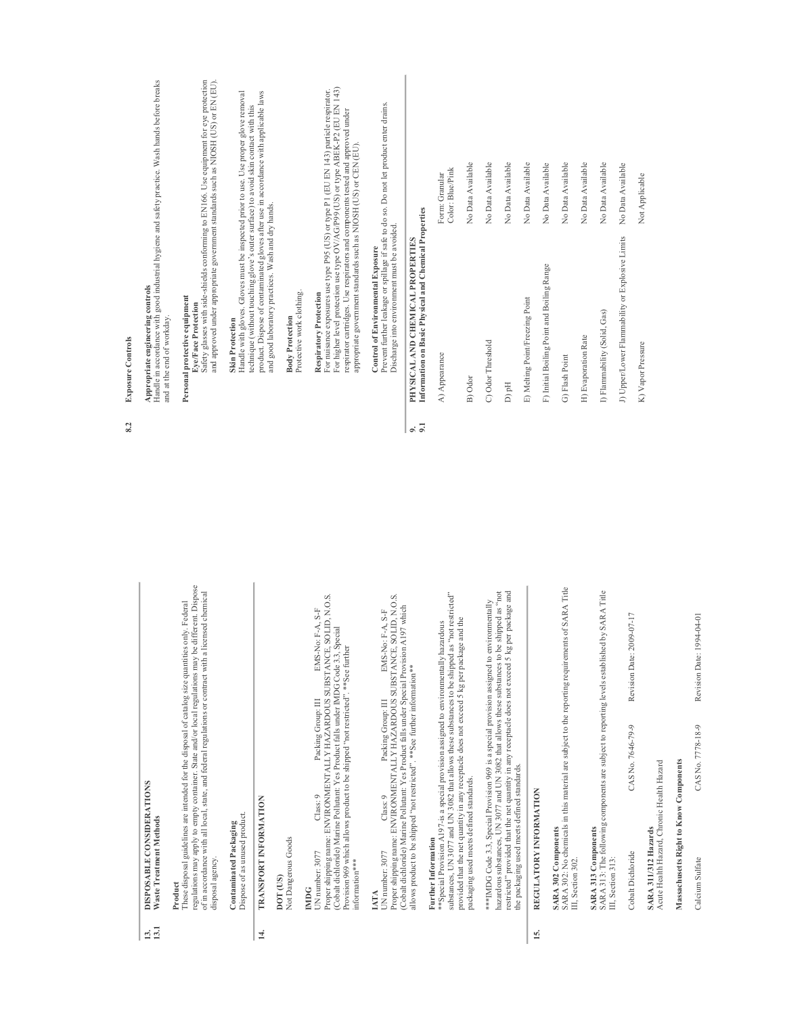| <b>DISPOSABLE CONSIDERATIONS</b><br>Waste Treatment Methods                                                                                                                                                                                                                                                                                        |     | Handle in accordance with good industrial hygiene and safety practice. Wash hands before breaks<br>Appropriate engineering controls<br>and at the end of workday.             |                                                                                                                                                                              |
|----------------------------------------------------------------------------------------------------------------------------------------------------------------------------------------------------------------------------------------------------------------------------------------------------------------------------------------------------|-----|-------------------------------------------------------------------------------------------------------------------------------------------------------------------------------|------------------------------------------------------------------------------------------------------------------------------------------------------------------------------|
| regulations may apply to empty container. State and/or local regulations may be different. Dispose<br>of in accordance with all local, state, and federal regulations or contract with a licensed chemical<br>These disposal guidelines are intended for the disposal of catalog size quantities only. Federal<br>disposal agency.<br>Product      |     | Personal protective equipment<br>Eye/Face Protection                                                                                                                          | Safety glasses with side-shields conforming to EN166. Use equipment for eye protection<br>and approved under appropriate government standards such as NIOSH (US) or EN (EU). |
| Dispose of as unused product.<br>Contaminated Packaging                                                                                                                                                                                                                                                                                            |     | technique (without touching glove's outer surface) to avoid skin contact with this<br><b>Skin Protection</b>                                                                  | Handle with gloves. Gloves must be inspected prior to use. Use proper glove removal                                                                                          |
| <b>TRANSPORT INFORMATION</b>                                                                                                                                                                                                                                                                                                                       |     | and good laboratory practices. Wash and dry hands.                                                                                                                            | product. Dispose of contaminated gloves after use in accordance with applicable laws                                                                                         |
| Not Dangerous Goods<br>DOT <sub>(US)</sub>                                                                                                                                                                                                                                                                                                         |     | Protective work clothing.<br><b>Body Protection</b>                                                                                                                           |                                                                                                                                                                              |
| UN number: 3077 Class: 9 Packing Group: III EMS-No: F-A, S-F Proper shipping name: ENVIRONMENTALLY HAZARDOUS SUBSTANCE, SOLID, N.O.S.<br>(Cobalt dichloride) Marine Pollutant: Yes Product falls under IMDG Code 3.3, Special<br>Provision 969 which allows product to be shipped "not restricted". **See further<br>information***<br><b>IMDG</b> |     | respirator cartridges. Use respirators and components tested and approved under<br>appropriate government standards such as NIOSH (US) or CEN (EU).<br>Respiratory Protection | For higher level protection use type OV/AG/P99 (US) or type ABEK-P2 (EU EN 143)<br>For nuisance exposures use type P95 (US) or type P1 (EU EN 143) particle respirator.      |
| Proper shipping name: ENVIRONMENTALLY HAZARDOUS SUBSTANCE, SOLID, N.O.S.<br>EMS-No: F-A, S-F<br>Packing Group: III<br>Class: 9<br>UN number: 3077<br>IATA                                                                                                                                                                                          |     | Prevent further leakage or spillage if safe to do so. Do not let product enter drains.<br>Discharge into environment must be avoided.<br>Control of Environmental Exposure    |                                                                                                                                                                              |
| (Cobalt dichloride) Marine Pollutant: Yes Product falls under Special Provision A197 which<br>allows product to be shipped "not restricted". **See further information**                                                                                                                                                                           | 9.1 | Information on Basic Physical and Chemical Properties<br>PHYSICAL AND CHEMICAL PROPERTIES                                                                                     |                                                                                                                                                                              |
| substances, UN 3077 and UN 3082 that allows these substances to be shipped as "not restricted"<br>**Special Provision A197-is a special provision assigned to environmentally hazardous<br>Further Information                                                                                                                                     |     | A) Appearance                                                                                                                                                                 | Color: Blue/Pink<br>Form: Granular                                                                                                                                           |
| provided that the net quantity in any receptacle does not exceed 5 kg per package and the<br>packaging used meets defined standards.                                                                                                                                                                                                               |     | B) Odor                                                                                                                                                                       | No Data Available                                                                                                                                                            |
| ***IMDG Code 3.3, Special Provision 969 is a special provision assigned to environmentally                                                                                                                                                                                                                                                         |     | C) Odor Threshold                                                                                                                                                             | No Data Available                                                                                                                                                            |
| hazardous substances, UN 3077 and UN 3082 that allows these substances to be shipped as "not<br>restricted" provided that the net quantity in any receptacle does not exceed 5 kg per package and                                                                                                                                                  |     | D) pH                                                                                                                                                                         | No Data Available                                                                                                                                                            |
| the packaging used meets defined standards.                                                                                                                                                                                                                                                                                                        |     | E) Melting Point/Freezing Point                                                                                                                                               | No Data Available                                                                                                                                                            |
| REGULATORY INFORMATION                                                                                                                                                                                                                                                                                                                             |     |                                                                                                                                                                               | No Data Available                                                                                                                                                            |
| <b>SARA 302 Components</b>                                                                                                                                                                                                                                                                                                                         |     | F) Initial Boiling Point and Boiling Range                                                                                                                                    |                                                                                                                                                                              |

#### REGULATORY INFORMATION 15. REGULATORY INFORMATION  $\overline{15}$ .

# SARA 302 Components

SARA 302 Components<br>SARA 302: No chemicals in this material are subject to the reporting requirements of SARA Title<br>III, Section 302. SARA 302: No chemicals in this material are subject to the reporting requirements of SARA Title III, Section 302.

## SARA 313 Components

SARA 313 Components<br>SARA 313: The following components are subject to reporting levels established by SARA Title SARA 313: The following components are subject to reporting levels established by SARA Title III, Section 313: III, Section 313:

Revision Date: 2009-07-17 Cobalt Dichloride CAS No. 7646-79-9 Revision Date: 2009-07-17 CAS No. 7646-79-9 Cobalt Dichloride

Acute Health Hazard, Chronic Health Hazard Acute Health Hazard, Chronic Health Hazard SARA 311/312 Hazards SARA 311/312 Hazards

## Massachusetts Right to Know Components Massachusetts Right to Know Components

Calcium Sulfate CAS No. 7778-18-9 Revision Date: 1994-04-01CAS No. 7778-18-9 Calcium Sulfate

Revision Date: 1994-04-01

#### **Exposure Controls** 8.2 Exposure Controls  $8.2$

13. DISPOSABLE CONSIDERATIONS 13.1 Waste Treatment Methods Product

 $\frac{13.1}{13.1}$ 

disposal agency. Contaminated Packaging Dispose of as unused product. 14. TRANSPORT INFORMATION **DOT (US)**<br>Not Dangerous Goods Not Dangerous Goods

 $14.$ 

| A) Appearance                                   | Color: Blue/Pink<br>Form: Granular |
|-------------------------------------------------|------------------------------------|
| B) Odor                                         | No Data Available                  |
| C) Odor Threshold                               | No Data Available                  |
| Hq(C                                            | No Data Available                  |
| E) Melting Point/Freezing Point                 | No Data Available                  |
| F) Initial Boiling Point and Boiling Range      | No Data Available                  |
| G) Flash Point                                  | No Data Available                  |
| H) Evaporation Rate                             | No Data Available                  |
| I) Flammability (Solid, Gas)                    | No Data Available                  |
| J) Upper/Lower Flammability or Explosive Limits | No Data Available                  |
| K) Vapor Pressure                               | Not Applicable                     |